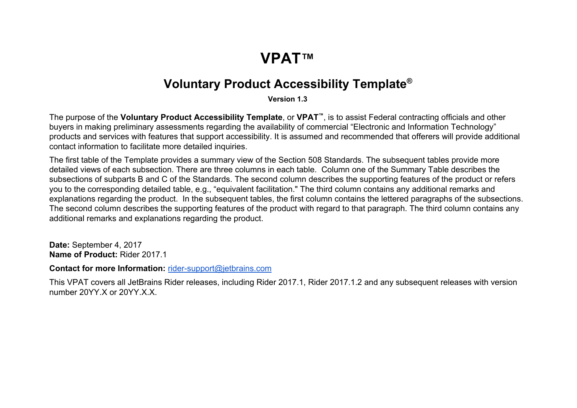## **VPAT™**

## **VoluntaryProductAccessibilityTemplate ®**

**Version1.3**

The purpose of the **VoluntaryProductAccessibilityTemplate**, or **VPAT™** , is to assist Federal contracting officials and other buyers in making preliminary assessments regarding the availability of commercial "Electronic and Information Technology" products and services with features that support accessibility. It is assumed and recommended that offerers will provide additional contact information to facilitate more detailed inquiries.

The first table of the Template provides a summary view of the Section 508 Standards. The subsequent tables provide more detailed views of each subsection. There are three columns in each table. Column one of the Summary Table describes the subsections of subparts B and C of the Standards. The second column describes the supporting features of the product or refers you to the corresponding detailed table, e.g., "equivalent facilitation." The third column contains any additional remarks and explanations regarding the product. In the subsequent tables, the first column contains the lettered paragraphs of the subsections. The second column describes the supporting features of the product with regard to that paragraph. The third column contains any additional remarks and explanations regarding the product.

Date: September 4, 2017 **Name of Product: Rider 2017.1** 

**Contact for more Information:** [rider-support@jetbrains.com](mailto:rider-support@jetbrains.com)

This VPAT covers all JetBrains Rider releases, including Rider 2017.1, Rider 2017.1.2 and any subsequent releases with version number 20YY.X or 20YY.X.X.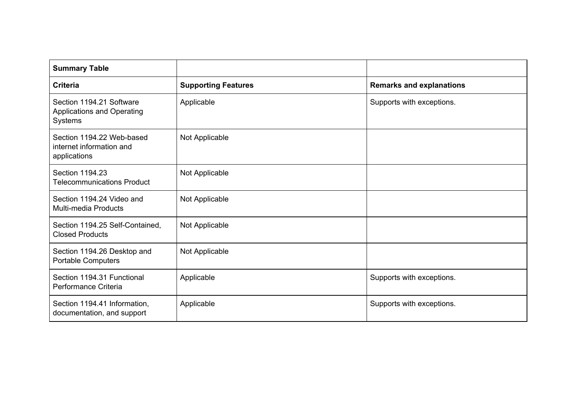| <b>Summary Table</b>                                                  |                            |                                 |
|-----------------------------------------------------------------------|----------------------------|---------------------------------|
| <b>Criteria</b>                                                       | <b>Supporting Features</b> | <b>Remarks and explanations</b> |
| Section 1194.21 Software<br>Applications and Operating<br>Systems     | Applicable                 | Supports with exceptions.       |
| Section 1194.22 Web-based<br>internet information and<br>applications | Not Applicable             |                                 |
| Section 1194.23<br><b>Telecommunications Product</b>                  | Not Applicable             |                                 |
| Section 1194.24 Video and<br><b>Multi-media Products</b>              | Not Applicable             |                                 |
| Section 1194.25 Self-Contained,<br><b>Closed Products</b>             | Not Applicable             |                                 |
| Section 1194.26 Desktop and<br><b>Portable Computers</b>              | Not Applicable             |                                 |
| Section 1194.31 Functional<br>Performance Criteria                    | Applicable                 | Supports with exceptions.       |
| Section 1194.41 Information,<br>documentation, and support            | Applicable                 | Supports with exceptions.       |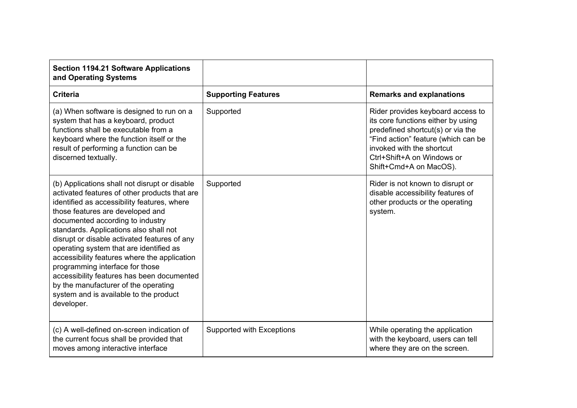| <b>Section 1194.21 Software Applications</b><br>and Operating Systems                                                                                                                                                                                                                                                                                                                                                                                                                                                                                                                       |                            |                                                                                                                                                                                                                                          |
|---------------------------------------------------------------------------------------------------------------------------------------------------------------------------------------------------------------------------------------------------------------------------------------------------------------------------------------------------------------------------------------------------------------------------------------------------------------------------------------------------------------------------------------------------------------------------------------------|----------------------------|------------------------------------------------------------------------------------------------------------------------------------------------------------------------------------------------------------------------------------------|
| <b>Criteria</b>                                                                                                                                                                                                                                                                                                                                                                                                                                                                                                                                                                             | <b>Supporting Features</b> | <b>Remarks and explanations</b>                                                                                                                                                                                                          |
| (a) When software is designed to run on a<br>system that has a keyboard, product<br>functions shall be executable from a<br>keyboard where the function itself or the<br>result of performing a function can be<br>discerned textually.                                                                                                                                                                                                                                                                                                                                                     | Supported                  | Rider provides keyboard access to<br>its core functions either by using<br>predefined shortcut(s) or via the<br>"Find action" feature (which can be<br>invoked with the shortcut<br>Ctrl+Shift+A on Windows or<br>Shift+Cmd+A on MacOS). |
| (b) Applications shall not disrupt or disable<br>activated features of other products that are<br>identified as accessibility features, where<br>those features are developed and<br>documented according to industry<br>standards. Applications also shall not<br>disrupt or disable activated features of any<br>operating system that are identified as<br>accessibility features where the application<br>programming interface for those<br>accessibility features has been documented<br>by the manufacturer of the operating<br>system and is available to the product<br>developer. | Supported                  | Rider is not known to disrupt or<br>disable accessibility features of<br>other products or the operating<br>system.                                                                                                                      |
| (c) A well-defined on-screen indication of<br>the current focus shall be provided that<br>moves among interactive interface                                                                                                                                                                                                                                                                                                                                                                                                                                                                 | Supported with Exceptions  | While operating the application<br>with the keyboard, users can tell<br>where they are on the screen.                                                                                                                                    |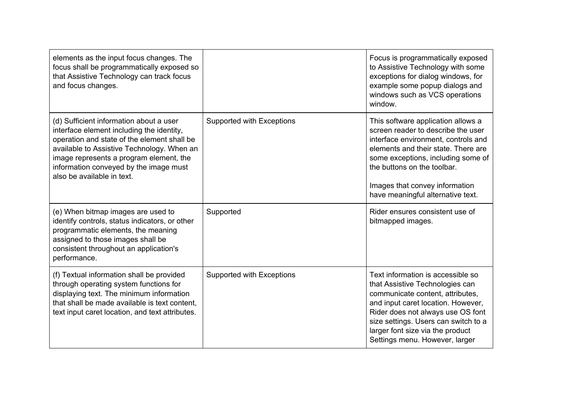| elements as the input focus changes. The<br>focus shall be programmatically exposed so<br>that Assistive Technology can track focus<br>and focus changes.                                                                                                                                            |                           | Focus is programmatically exposed<br>to Assistive Technology with some<br>exceptions for dialog windows, for<br>example some popup dialogs and<br>windows such as VCS operations<br>window.                                                                                                        |
|------------------------------------------------------------------------------------------------------------------------------------------------------------------------------------------------------------------------------------------------------------------------------------------------------|---------------------------|----------------------------------------------------------------------------------------------------------------------------------------------------------------------------------------------------------------------------------------------------------------------------------------------------|
| (d) Sufficient information about a user<br>interface element including the identity,<br>operation and state of the element shall be<br>available to Assistive Technology. When an<br>image represents a program element, the<br>information conveyed by the image must<br>also be available in text. | Supported with Exceptions | This software application allows a<br>screen reader to describe the user<br>interface environment, controls and<br>elements and their state. There are<br>some exceptions, including some of<br>the buttons on the toolbar.<br>Images that convey information<br>have meaningful alternative text. |
| (e) When bitmap images are used to<br>identify controls, status indicators, or other<br>programmatic elements, the meaning<br>assigned to those images shall be<br>consistent throughout an application's<br>performance.                                                                            | Supported                 | Rider ensures consistent use of<br>bitmapped images.                                                                                                                                                                                                                                               |
| (f) Textual information shall be provided<br>through operating system functions for<br>displaying text. The minimum information<br>that shall be made available is text content.<br>text input caret location, and text attributes.                                                                  | Supported with Exceptions | Text information is accessible so<br>that Assistive Technologies can<br>communicate content, attributes,<br>and input caret location. However,<br>Rider does not always use OS font<br>size settings. Users can switch to a<br>larger font size via the product<br>Settings menu. However, larger  |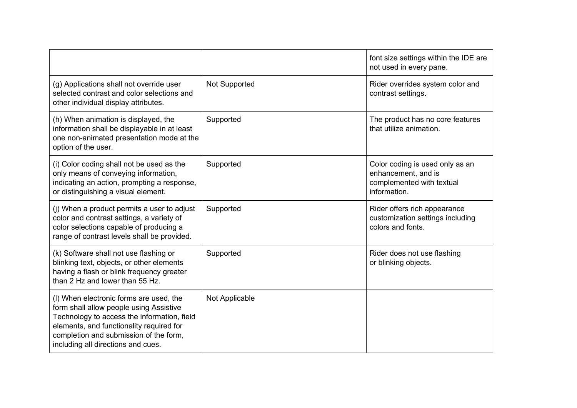|                                                                                                                                                                                                                                                               |                | font size settings within the IDE are<br>not used in every pane.                                    |
|---------------------------------------------------------------------------------------------------------------------------------------------------------------------------------------------------------------------------------------------------------------|----------------|-----------------------------------------------------------------------------------------------------|
| (g) Applications shall not override user<br>selected contrast and color selections and<br>other individual display attributes.                                                                                                                                | Not Supported  | Rider overrides system color and<br>contrast settings.                                              |
| (h) When animation is displayed, the<br>information shall be displayable in at least<br>one non-animated presentation mode at the<br>option of the user.                                                                                                      | Supported      | The product has no core features<br>that utilize animation.                                         |
| (i) Color coding shall not be used as the<br>only means of conveying information,<br>indicating an action, prompting a response,<br>or distinguishing a visual element.                                                                                       | Supported      | Color coding is used only as an<br>enhancement, and is<br>complemented with textual<br>information. |
| (j) When a product permits a user to adjust<br>color and contrast settings, a variety of<br>color selections capable of producing a<br>range of contrast levels shall be provided.                                                                            | Supported      | Rider offers rich appearance<br>customization settings including<br>colors and fonts.               |
| (k) Software shall not use flashing or<br>blinking text, objects, or other elements<br>having a flash or blink frequency greater<br>than 2 Hz and lower than 55 Hz.                                                                                           | Supported      | Rider does not use flashing<br>or blinking objects.                                                 |
| (I) When electronic forms are used, the<br>form shall allow people using Assistive<br>Technology to access the information, field<br>elements, and functionality required for<br>completion and submission of the form,<br>including all directions and cues. | Not Applicable |                                                                                                     |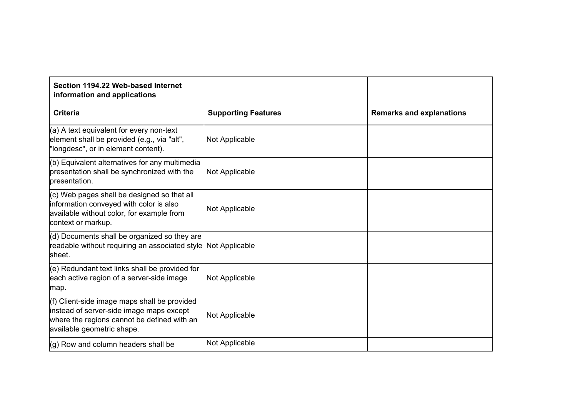| Section 1194.22 Web-based Internet<br>information and applications                                                                                                    |                            |                                 |
|-----------------------------------------------------------------------------------------------------------------------------------------------------------------------|----------------------------|---------------------------------|
| <b>Criteria</b>                                                                                                                                                       | <b>Supporting Features</b> | <b>Remarks and explanations</b> |
| (a) A text equivalent for every non-text<br>element shall be provided (e.g., via "alt",<br>'longdesc", or in element content).                                        | Not Applicable             |                                 |
| (b) Equivalent alternatives for any multimedia<br>presentation shall be synchronized with the<br>presentation.                                                        | Not Applicable             |                                 |
| $(c)$ Web pages shall be designed so that all<br>information conveyed with color is also<br>available without color, for example from<br>context or markup.           | Not Applicable             |                                 |
| (d) Documents shall be organized so they are<br>readable without requiring an associated style<br>lsheet.                                                             | Not Applicable             |                                 |
| $(e)$ Redundant text links shall be provided for<br>each active region of a server-side image<br>map.                                                                 | Not Applicable             |                                 |
| (f) Client-side image maps shall be provided<br>instead of server-side image maps except<br>where the regions cannot be defined with an<br>available geometric shape. | Not Applicable             |                                 |
| (g) Row and column headers shall be                                                                                                                                   | Not Applicable             |                                 |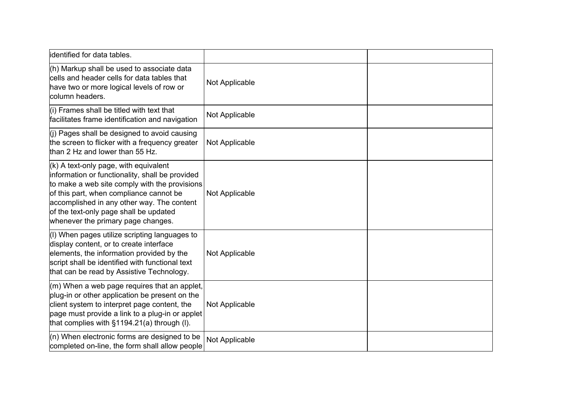| identified for data tables.                                                                                                                                                                                                                                                                                          |                |  |
|----------------------------------------------------------------------------------------------------------------------------------------------------------------------------------------------------------------------------------------------------------------------------------------------------------------------|----------------|--|
| (h) Markup shall be used to associate data<br>cells and header cells for data tables that<br>have two or more logical levels of row or<br>column headers.                                                                                                                                                            | Not Applicable |  |
| $(i)$ Frames shall be titled with text that<br>facilitates frame identification and navigation                                                                                                                                                                                                                       | Not Applicable |  |
| $(i)$ Pages shall be designed to avoid causing<br>the screen to flicker with a frequency greater<br>than 2 Hz and lower than 55 Hz.                                                                                                                                                                                  | Not Applicable |  |
| $(k)$ A text-only page, with equivalent<br>information or functionality, shall be provided<br>to make a web site comply with the provisions<br>of this part, when compliance cannot be<br>accomplished in any other way. The content<br>of the text-only page shall be updated<br>whenever the primary page changes. | Not Applicable |  |
| (I) When pages utilize scripting languages to<br>display content, or to create interface<br>elements, the information provided by the<br>script shall be identified with functional text<br>that can be read by Assistive Technology.                                                                                | Not Applicable |  |
| $\mathsf{m}$ ) When a web page requires that an applet,<br>plug-in or other application be present on the<br>client system to interpret page content, the<br>page must provide a link to a plug-in or applet<br>that complies with $§1194.21(a)$ through (I).                                                        | Not Applicable |  |
| (n) When electronic forms are designed to be<br>completed on-line, the form shall allow people                                                                                                                                                                                                                       | Not Applicable |  |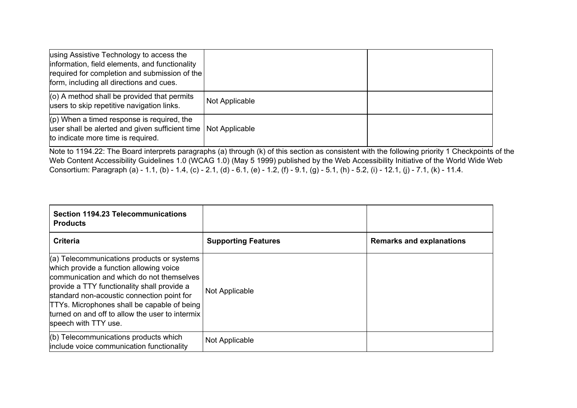| using Assistive Technology to access the<br>information, field elements, and functionality<br>required for completion and submission of the<br>form, including all directions and cues. |                |  |
|-----------------------------------------------------------------------------------------------------------------------------------------------------------------------------------------|----------------|--|
| $(0)$ A method shall be provided that permits<br>users to skip repetitive navigation links.                                                                                             | Not Applicable |  |
| $(p)$ When a timed response is required, the<br>user shall be alerted and given sufficient time<br>to indicate more time is required.                                                   | Not Applicable |  |

Note to 1194.22: The Board interprets paragraphs (a) through (k) of this section as consistent with the following priority 1 Checkpoints of the Web Content Accessibility Guidelines 1.0 (WCAG 1.0) (May 5 1999) published by the Web Accessibility Initiative of the World Wide Web Consortium: Paragraph (a) - 1.1, (b) - 1.4, (c) - 2.1, (d) - 6.1, (e) - 1.2, (f) - 9.1, (g) - 5.1, (h) - 5.2, (i) - 12.1, (j) - 7.1, (k) - 11.4.

| <b>Section 1194.23 Telecommunications</b><br><b>Products</b>                                                                                                                                                                                                                                                                                                       |                            |                                 |
|--------------------------------------------------------------------------------------------------------------------------------------------------------------------------------------------------------------------------------------------------------------------------------------------------------------------------------------------------------------------|----------------------------|---------------------------------|
| <b>Criteria</b>                                                                                                                                                                                                                                                                                                                                                    | <b>Supporting Features</b> | <b>Remarks and explanations</b> |
| $(a)$ Telecommunications products or systems<br>which provide a function allowing voice<br>communication and which do not themselves<br>provide a TTY functionality shall provide a<br>standard non-acoustic connection point for<br><b>TTYs. Microphones shall be capable of being</b><br>turned on and off to allow the user to intermix<br>speech with TTY use. | Not Applicable             |                                 |
| $(6)$ Telecommunications products which<br>include voice communication functionality                                                                                                                                                                                                                                                                               | Not Applicable             |                                 |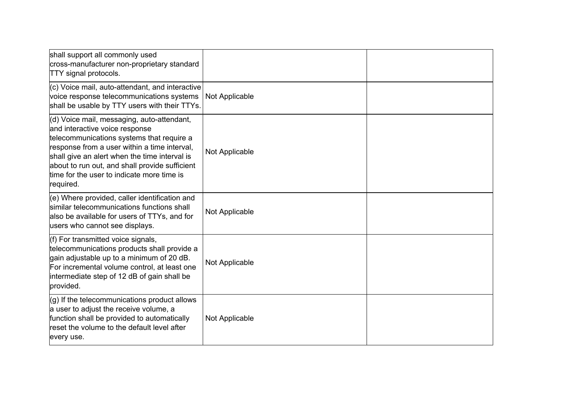| shall support all commonly used<br>cross-manufacturer non-proprietary standard<br><b>TTY</b> signal protocols.                                                                                                                                                                                                                          |                |  |
|-----------------------------------------------------------------------------------------------------------------------------------------------------------------------------------------------------------------------------------------------------------------------------------------------------------------------------------------|----------------|--|
| (c) Voice mail, auto-attendant, and interactive<br>voice response telecommunications systems<br>shall be usable by TTY users with their TTYs.                                                                                                                                                                                           | Not Applicable |  |
| (d) Voice mail, messaging, auto-attendant,<br>and interactive voice response<br>telecommunications systems that require a<br>response from a user within a time interval,<br>shall give an alert when the time interval is<br>about to run out, and shall provide sufficient<br>time for the user to indicate more time is<br>required. | Not Applicable |  |
| (e) Where provided, caller identification and<br>similar telecommunications functions shall<br>also be available for users of TTYs, and for<br>users who cannot see displays.                                                                                                                                                           | Not Applicable |  |
| (f) For transmitted voice signals,<br>telecommunications products shall provide a<br>gain adjustable up to a minimum of 20 dB.<br>For incremental volume control, at least one<br>intermediate step of 12 dB of gain shall be<br>provided.                                                                                              | Not Applicable |  |
| $(g)$ If the telecommunications product allows<br>a user to adjust the receive volume, a<br>function shall be provided to automatically<br>reset the volume to the default level after<br>every use.                                                                                                                                    | Not Applicable |  |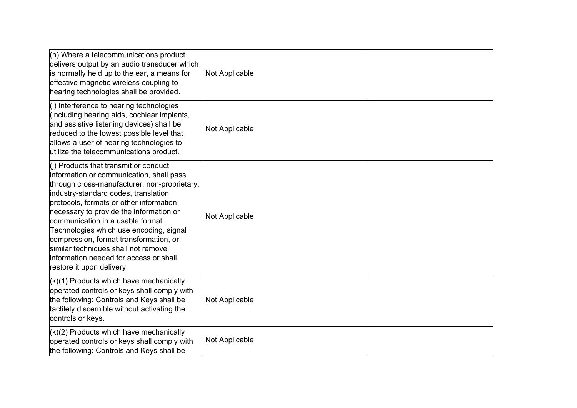| $(h)$ Where a telecommunications product<br>delivers output by an audio transducer which<br>is normally held up to the ear, a means for<br>effective magnetic wireless coupling to<br>hearing technologies shall be provided.                                                                                                                                                                                                                                                                             | Not Applicable |  |
|-----------------------------------------------------------------------------------------------------------------------------------------------------------------------------------------------------------------------------------------------------------------------------------------------------------------------------------------------------------------------------------------------------------------------------------------------------------------------------------------------------------|----------------|--|
| (i) Interference to hearing technologies<br>(including hearing aids, cochlear implants,<br>and assistive listening devices) shall be<br>reduced to the lowest possible level that<br>allows a user of hearing technologies to<br>utilize the telecommunications product.                                                                                                                                                                                                                                  | Not Applicable |  |
| $(i)$ Products that transmit or conduct<br>information or communication, shall pass<br>through cross-manufacturer, non-proprietary,<br>industry-standard codes, translation<br>protocols, formats or other information<br>necessary to provide the information or<br>communication in a usable format.<br>Technologies which use encoding, signal<br>compression, format transformation, or<br>similar techniques shall not remove<br>information needed for access or shall<br>restore it upon delivery. | Not Applicable |  |
| $(k)(1)$ Products which have mechanically<br>operated controls or keys shall comply with<br>the following: Controls and Keys shall be<br>tactilely discernible without activating the<br>controls or keys.                                                                                                                                                                                                                                                                                                | Not Applicable |  |
| $(k)(2)$ Products which have mechanically<br>operated controls or keys shall comply with<br>the following: Controls and Keys shall be                                                                                                                                                                                                                                                                                                                                                                     | Not Applicable |  |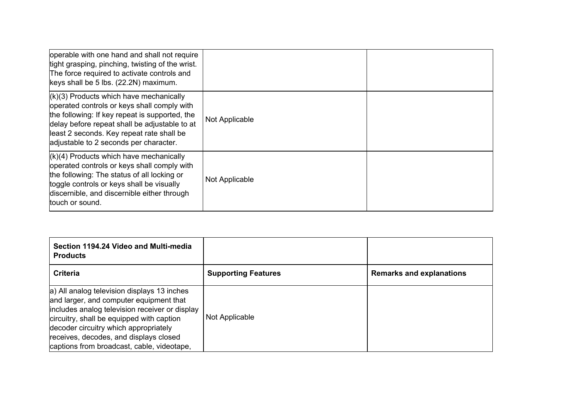| operable with one hand and shall not require<br>tight grasping, pinching, twisting of the wrist.<br>The force required to activate controls and<br>keys shall be 5 lbs. (22.2N) maximum.                                                                                           |                |  |
|------------------------------------------------------------------------------------------------------------------------------------------------------------------------------------------------------------------------------------------------------------------------------------|----------------|--|
| $(k)(3)$ Products which have mechanically<br>operated controls or keys shall comply with<br>the following: If key repeat is supported, the<br>delay before repeat shall be adjustable to at<br>least 2 seconds. Key repeat rate shall be<br>adjustable to 2 seconds per character. | Not Applicable |  |
| $(k)(4)$ Products which have mechanically<br>operated controls or keys shall comply with<br>the following: The status of all locking or<br>toggle controls or keys shall be visually<br>discernible, and discernible either through<br>touch or sound.                             | Not Applicable |  |

| Section 1194.24 Video and Multi-media<br><b>Products</b>                                                                                                                                                                                                                                                               |                            |                                 |
|------------------------------------------------------------------------------------------------------------------------------------------------------------------------------------------------------------------------------------------------------------------------------------------------------------------------|----------------------------|---------------------------------|
| <b>Criteria</b>                                                                                                                                                                                                                                                                                                        | <b>Supporting Features</b> | <b>Remarks and explanations</b> |
| a) All analog television displays 13 inches<br>and larger, and computer equipment that<br>includes analog television receiver or display<br>circuitry, shall be equipped with caption<br>decoder circuitry which appropriately<br>receives, decodes, and displays closed<br>captions from broadcast, cable, videotape, | Not Applicable             |                                 |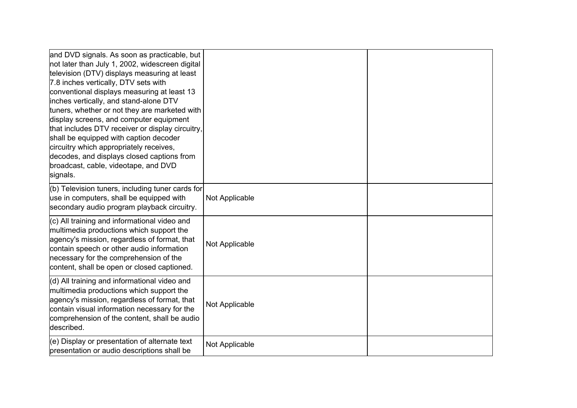| and DVD signals. As soon as practicable, but<br>not later than July 1, 2002, widescreen digital<br>television (DTV) displays measuring at least<br>7.8 inches vertically, DTV sets with<br>conventional displays measuring at least 13<br>inches vertically, and stand-alone DTV<br>tuners, whether or not they are marketed with<br>display screens, and computer equipment<br>that includes DTV receiver or display circuitry,<br>shall be equipped with caption decoder<br>circuitry which appropriately receives,<br>decodes, and displays closed captions from<br>broadcast, cable, videotape, and DVD<br>signals. |                |  |
|-------------------------------------------------------------------------------------------------------------------------------------------------------------------------------------------------------------------------------------------------------------------------------------------------------------------------------------------------------------------------------------------------------------------------------------------------------------------------------------------------------------------------------------------------------------------------------------------------------------------------|----------------|--|
| (b) Television tuners, including tuner cards for<br>use in computers, shall be equipped with<br>secondary audio program playback circuitry.                                                                                                                                                                                                                                                                                                                                                                                                                                                                             | Not Applicable |  |
| $(c)$ All training and informational video and<br>multimedia productions which support the<br>agency's mission, regardless of format, that<br>contain speech or other audio information<br>necessary for the comprehension of the<br>content, shall be open or closed captioned.                                                                                                                                                                                                                                                                                                                                        | Not Applicable |  |
| (d) All training and informational video and<br>multimedia productions which support the<br>agency's mission, regardless of format, that<br>contain visual information necessary for the<br>comprehension of the content, shall be audio<br>described.                                                                                                                                                                                                                                                                                                                                                                  | Not Applicable |  |
| (e) Display or presentation of alternate text<br>presentation or audio descriptions shall be                                                                                                                                                                                                                                                                                                                                                                                                                                                                                                                            | Not Applicable |  |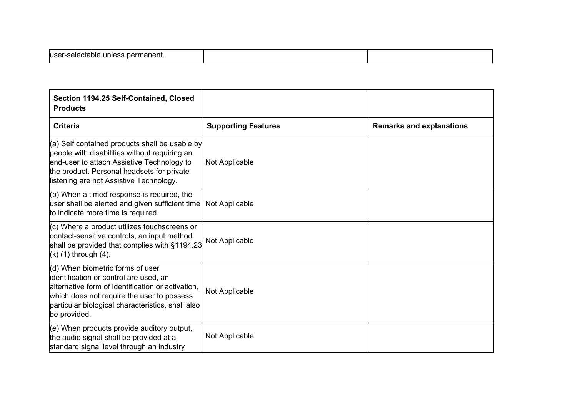| luser-selectable unless permanent. |  |
|------------------------------------|--|
|                                    |  |

| Section 1194.25 Self-Contained, Closed<br><b>Products</b>                                                                                                                                                                                          |                            |                                 |
|----------------------------------------------------------------------------------------------------------------------------------------------------------------------------------------------------------------------------------------------------|----------------------------|---------------------------------|
| <b>Criteria</b>                                                                                                                                                                                                                                    | <b>Supporting Features</b> | <b>Remarks and explanations</b> |
| $(a)$ Self contained products shall be usable by<br>people with disabilities without requiring an<br>end-user to attach Assistive Technology to<br>the product. Personal headsets for private<br>listening are not Assistive Technology.           | Not Applicable             |                                 |
| (b) When a timed response is required, the<br>user shall be alerted and given sufficient time Not Applicable<br>to indicate more time is required.                                                                                                 |                            |                                 |
| (c) Where a product utilizes touchscreens or<br>contact-sensitive controls, an input method<br>shall be provided that complies with §1194.23<br>$(k)$ (1) through $(4)$ .                                                                          | Not Applicable             |                                 |
| (d) When biometric forms of user<br>identification or control are used, an<br>alternative form of identification or activation,<br>which does not require the user to possess<br>particular biological characteristics, shall also<br>be provided. | Not Applicable             |                                 |
| (e) When products provide auditory output,<br>the audio signal shall be provided at a<br>standard signal level through an industry                                                                                                                 | Not Applicable             |                                 |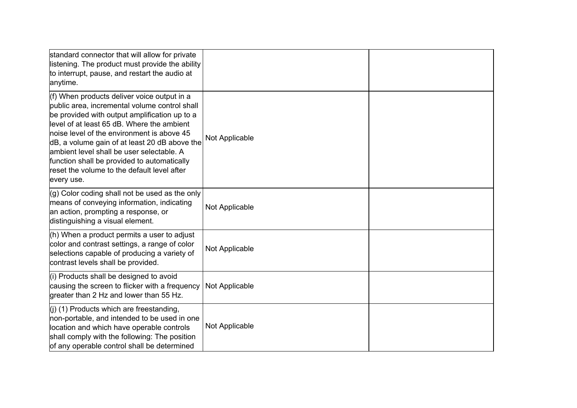| standard connector that will allow for private<br>listening. The product must provide the ability<br>to interrupt, pause, and restart the audio at<br>anytime.                                                                                                                                                                                                                                                                                       |                |  |
|------------------------------------------------------------------------------------------------------------------------------------------------------------------------------------------------------------------------------------------------------------------------------------------------------------------------------------------------------------------------------------------------------------------------------------------------------|----------------|--|
| (f) When products deliver voice output in a<br>public area, incremental volume control shall<br>be provided with output amplification up to a<br>level of at least 65 dB. Where the ambient<br>noise level of the environment is above 45<br>dB, a volume gain of at least 20 dB above the<br>lambient level shall be user selectable. A<br>function shall be provided to automatically<br>reset the volume to the default level after<br>every use. | Not Applicable |  |
| $(g)$ Color coding shall not be used as the only<br>means of conveying information, indicating<br>an action, prompting a response, or<br>distinguishing a visual element.                                                                                                                                                                                                                                                                            | Not Applicable |  |
| $(h)$ When a product permits a user to adjust<br>color and contrast settings, a range of color<br>selections capable of producing a variety of<br>contrast levels shall be provided.                                                                                                                                                                                                                                                                 | Not Applicable |  |
| (i) Products shall be designed to avoid<br>causing the screen to flicker with a frequency<br>greater than 2 Hz and lower than 55 Hz.                                                                                                                                                                                                                                                                                                                 | Not Applicable |  |
| $($ i) (1) Products which are freestanding,<br>non-portable, and intended to be used in one<br>location and which have operable controls<br>shall comply with the following: The position<br>of any operable control shall be determined                                                                                                                                                                                                             | Not Applicable |  |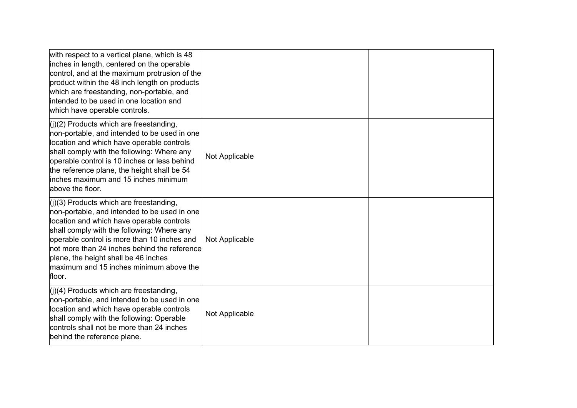| with respect to a vertical plane, which is 48<br>inches in length, centered on the operable<br>control, and at the maximum protrusion of the<br>product within the 48 inch length on products<br>which are freestanding, non-portable, and<br>intended to be used in one location and<br>which have operable controls.                                                           |                |  |
|----------------------------------------------------------------------------------------------------------------------------------------------------------------------------------------------------------------------------------------------------------------------------------------------------------------------------------------------------------------------------------|----------------|--|
| $($ i $)(2)$ Products which are freestanding,<br>non-portable, and intended to be used in one<br>location and which have operable controls<br>shall comply with the following: Where any<br>operable control is 10 inches or less behind<br>the reference plane, the height shall be 54<br>inches maximum and 15 inches minimum<br>above the floor.                              | Not Applicable |  |
| $(i)(3)$ Products which are freestanding,<br>non-portable, and intended to be used in one<br>location and which have operable controls<br>shall comply with the following: Where any<br>operable control is more than 10 inches and<br>not more than 24 inches behind the reference<br>plane, the height shall be 46 inches<br>maximum and 15 inches minimum above the<br>floor. | Not Applicable |  |
| $(i)(4)$ Products which are freestanding,<br>non-portable, and intended to be used in one<br>location and which have operable controls<br>shall comply with the following: Operable<br>controls shall not be more than 24 inches<br>behind the reference plane.                                                                                                                  | Not Applicable |  |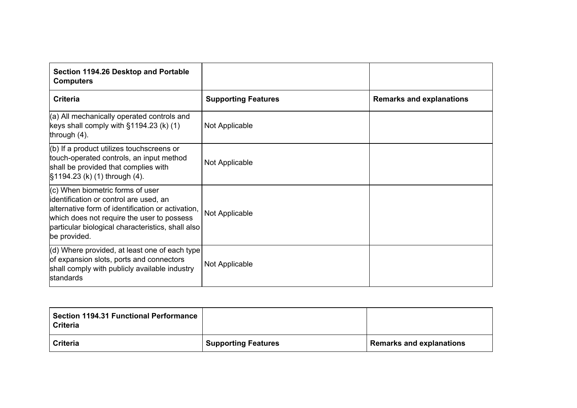| Section 1194.26 Desktop and Portable<br><b>Computers</b>                                                                                                                                                                                             |                            |                                 |
|------------------------------------------------------------------------------------------------------------------------------------------------------------------------------------------------------------------------------------------------------|----------------------------|---------------------------------|
| <b>Criteria</b>                                                                                                                                                                                                                                      | <b>Supporting Features</b> | <b>Remarks and explanations</b> |
| (a) All mechanically operated controls and<br>keys shall comply with $\S1194.23$ (k) (1)<br>through $(4)$ .                                                                                                                                          | Not Applicable             |                                 |
| $(6)$ If a product utilizes touchscreens or<br>touch-operated controls, an input method<br>shall be provided that complies with<br>§1194.23 (k) (1) through (4).                                                                                     | Not Applicable             |                                 |
| $(c)$ When biometric forms of user<br>identification or control are used, an<br>alternative form of identification or activation,<br>which does not require the user to possess<br>particular biological characteristics, shall also<br>be provided. | Not Applicable             |                                 |
| (d) Where provided, at least one of each type<br>of expansion slots, ports and connectors<br>shall comply with publicly available industry<br>standards                                                                                              | Not Applicable             |                                 |

| <b>Section 1194.31 Functional Performance</b><br><b>Criteria</b> |                            |                                 |
|------------------------------------------------------------------|----------------------------|---------------------------------|
| <b>Criteria</b>                                                  | <b>Supporting Features</b> | <b>Remarks and explanations</b> |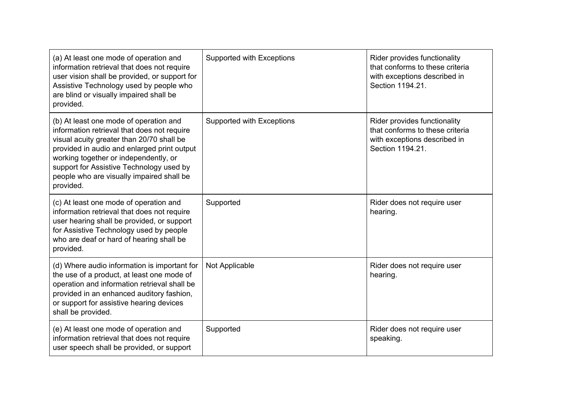| (a) At least one mode of operation and<br>information retrieval that does not require<br>user vision shall be provided, or support for<br>Assistive Technology used by people who<br>are blind or visually impaired shall be<br>provided.                                                                                        | Supported with Exceptions | Rider provides functionality<br>that conforms to these criteria<br>with exceptions described in<br>Section 1194.21. |
|----------------------------------------------------------------------------------------------------------------------------------------------------------------------------------------------------------------------------------------------------------------------------------------------------------------------------------|---------------------------|---------------------------------------------------------------------------------------------------------------------|
| (b) At least one mode of operation and<br>information retrieval that does not require<br>visual acuity greater than 20/70 shall be<br>provided in audio and enlarged print output<br>working together or independently, or<br>support for Assistive Technology used by<br>people who are visually impaired shall be<br>provided. | Supported with Exceptions | Rider provides functionality<br>that conforms to these criteria<br>with exceptions described in<br>Section 1194.21. |
| (c) At least one mode of operation and<br>information retrieval that does not require<br>user hearing shall be provided, or support<br>for Assistive Technology used by people<br>who are deaf or hard of hearing shall be<br>provided.                                                                                          | Supported                 | Rider does not require user<br>hearing.                                                                             |
| (d) Where audio information is important for<br>the use of a product, at least one mode of<br>operation and information retrieval shall be<br>provided in an enhanced auditory fashion,<br>or support for assistive hearing devices<br>shall be provided.                                                                        | Not Applicable            | Rider does not require user<br>hearing.                                                                             |
| (e) At least one mode of operation and<br>information retrieval that does not require<br>user speech shall be provided, or support                                                                                                                                                                                               | Supported                 | Rider does not require user<br>speaking.                                                                            |